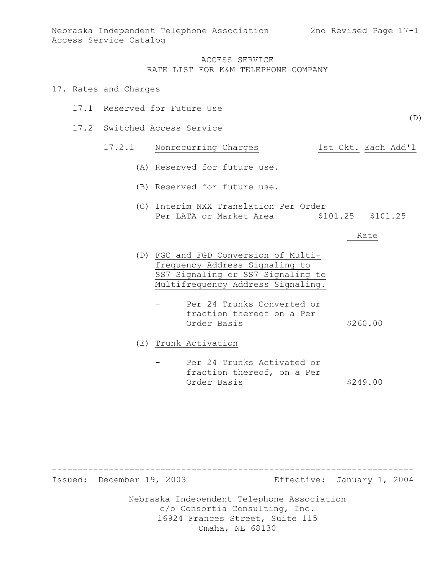Nebraska Independent Telephone Association 2nd Revised Page 17-1 Access Service Catalog

#### ACCESS SERVICE RATE LIST FOR K&M TELEPHONE COMPANY

#### 17. Rates and Charges

- 17.1 Reserved for Future Use
- 17.2 Switched Access Service

## 17.2.1 Nonrecurring Charges 1st Ckt. Each Add'l

- (A) Reserved for future use.
- (B) Reserved for future use.
- (C) Interim NXX Translation Per Order Per LATA or Market Area  $$101.25$  \$101.25

#### Rate

- (D) FGC and FGD Conversion of Multifrequency Address Signaling to SS7 Signaling or SS7 Signaling to Multifrequency Address Signaling.
	- Per 24 Trunks Converted or fraction thereof on a Per Order Basis \$260.00

(E) Trunk Activation

Per 24 Trunks Activated or fraction thereof, on a Per Order Basis \$249.00

---------------------------------------------------------------------- Issued: December 19, 2003 Effective: January 1, 2004

> Nebraska Independent Telephone Association c/o Consortia Consulting, Inc. 16924 Frances Street, Suite 115 Omaha, NE 68130

(D)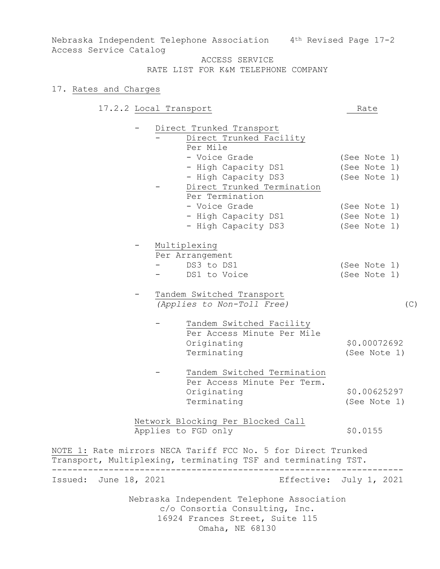Nebraska Independent Telephone Association 4th Revised Page 17-2 Access Service Catalog

# ACCESS SERVICE

RATE LIST FOR K&M TELEPHONE COMPANY

#### 17. Rates and Charges

17.2.2 Local Transport Rate

Direct Trunked Transport Direct Trunked Facility Per Mile - Voice Grade (See Note 1) - High Capacity DS1 (See Note 1) - High Capacity DS3 (See Note 1) Direct Trunked Termination Per Termination - Voice Grade (See Note 1) - High Capacity DS1 (See Note 1) - High Capacity DS3 (See Note 1) - Multiplexing Per Arrangement DS3 to DS1 (See Note 1) DS1 to Voice (See Note 1) Tandem Switched Transport *(Applies to Non-Toll Free)* (C) Tandem Switched Facility Per Access Minute Per Mile Originating \$0.00072692 Terminating (See Note 1) Tandem Switched Termination Per Access Minute Per Term. Originating \$0.00625297 Terminating (See Note 1) Network Blocking Per Blocked Call Applies to FGD only \$0.0155 NOTE 1: Rate mirrors NECA Tariff FCC No. 5 for Direct Trunked Transport, Multiplexing, terminating TSF and terminating TST. -------------------------------------------------------------------- Issued: June 18, 2021 Effective: July 1, 2021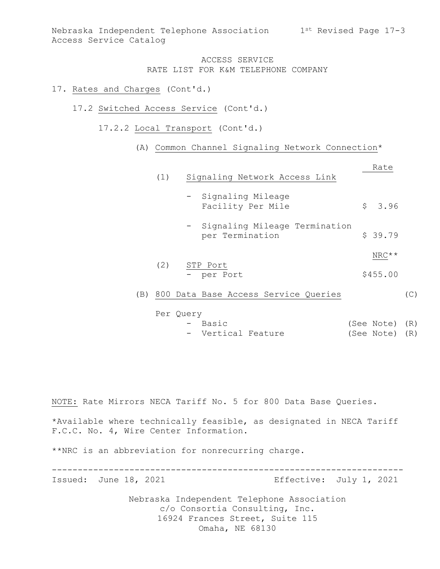Nebraska Independent Telephone Association 1st Revised Page 17-3 Access Service Catalog

### ACCESS SERVICE RATE LIST FOR K&M TELEPHONE COMPANY

### 17. Rates and Charges (Cont'd.)

- 17.2 Switched Access Service (Cont'd.)
	- 17.2.2 Local Transport (Cont'd.)
		- (A) Common Channel Signaling Network Connection\*

|     | Signaling Network Access Link<br>(1)               | Rate     |     |
|-----|----------------------------------------------------|----------|-----|
|     | - Signaling Mileage<br>Facility Per Mile           | \$3.96   |     |
|     | - Signaling Mileage Termination<br>per Termination | \$39.79  |     |
|     |                                                    | NRC**    |     |
|     | (2)<br>STP Port<br>- per Port                      | \$455.00 |     |
| (B) | 800 Data Base Access Service Queries               |          | (C) |
|     | Per Query                                          |          |     |

- Basic (See Note) (R) - Vertical Feature (See Note) (R)

NOTE: Rate Mirrors NECA Tariff No. 5 for 800 Data Base Queries.

\*Available where technically feasible, as designated in NECA Tariff F.C.C. No. 4, Wire Center Information.

\*\*NRC is an abbreviation for nonrecurring charge.

-------------------------------------------------------------------- Issued: June 18, 2021 Effective: July 1, 2021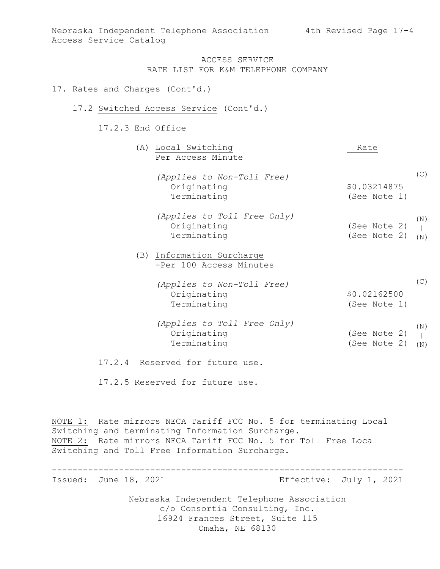### 17. Rates and Charges (Cont'd.)

#### 17.2 Switched Access Service (Cont'd.)

#### 17.2.3 End Office

|  | (A) Local Switching<br>Per Access Minute                  | Rate                         |            |
|--|-----------------------------------------------------------|------------------------------|------------|
|  | (Applies to Non-Toll Free)<br>Originating<br>Terminating  | \$0.03214875<br>(See Note 1) | (C)        |
|  | (Applies to Toll Free Only)<br>Originating<br>Terminating | (See Note 2)<br>(See Note 2) | (N)<br>(N) |
|  | (B) Information Surcharge<br>-Per 100 Access Minutes      |                              |            |
|  | (Applies to Non-Toll Free)<br>Originating<br>Terminating  | \$0.02162500<br>(See Note 1) | (C)        |
|  | (Applies to Toll Free Only)<br>Originating<br>Terminating | (See Note 2)<br>(See Note 2) | (N)<br>(N) |
|  | 17.2.4 Reserved for future use.                           |                              |            |
|  | 17.2.5 Reserved for future use.                           |                              |            |

NOTE 1: Rate mirrors NECA Tariff FCC No. 5 for terminating Local Switching and terminating Information Surcharge. NOTE 2: Rate mirrors NECA Tariff FCC No. 5 for Toll Free Local Switching and Toll Free Information Surcharge.

Nebraska Independent Telephone Association c/o Consortia Consulting, Inc. 16924 Frances Street, Suite 115 Omaha, NE 68130 -------------------------------------------------------------------- Issued: June 18, 2021 Effective: July 1, 2021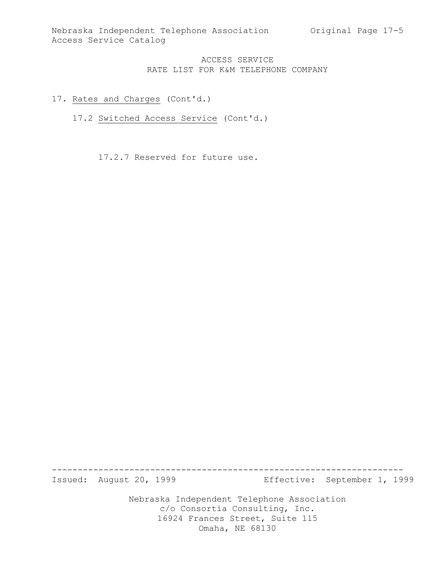## 17. Rates and Charges (Cont'd.)

17.2 Switched Access Service (Cont'd.)

17.2.7 Reserved for future use.

Nebraska Independent Telephone Association -------------------------------------------------------------------- Issued: August 20, 1999 Effective: September 1, 1999

c/o Consortia Consulting, Inc. 16924 Frances Street, Suite 115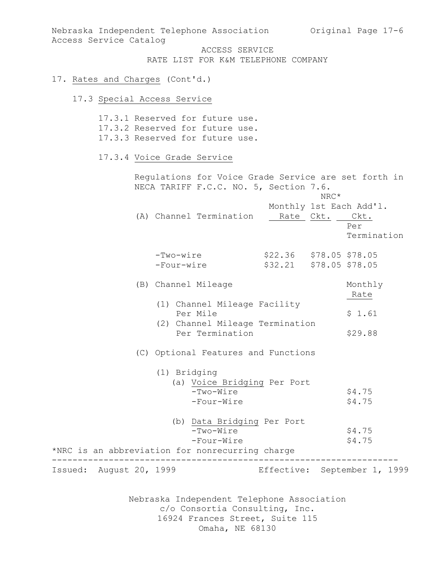Nebraska Independent Telephone Association Original Page 17-6 Access Service Catalog

ACCESS SERVICE RATE LIST FOR K&M TELEPHONE COMPANY

#### 17. Rates and Charges (Cont'd.)

# 17.3 Special Access Service

|                         | 17.3.1 Reserved for future use.<br>17.3.2 Reserved for future use.<br>17.3.3 Reserved for future use.                     |                                                                         |
|-------------------------|---------------------------------------------------------------------------------------------------------------------------|-------------------------------------------------------------------------|
|                         | 17.3.4 Voice Grade Service                                                                                                |                                                                         |
|                         | Regulations for Voice Grade Service are set forth in<br>NECA TARIFF F.C.C. NO. 5, Section 7.6.<br>(A) Channel Termination | NRC*<br>Monthly 1st Each Add'l.<br>Rate Ckt. Ckt.<br>Per<br>Termination |
|                         | -Two-wire<br>-Four-wire                                                                                                   | $$22.36$ $$78.05$ $$78.05$<br>\$32.21 \$78.05 \$78.05                   |
|                         | (B) Channel Mileage                                                                                                       | Monthly<br>Rate                                                         |
|                         | (1) Channel Mileage Facility<br>Per Mile<br>(2) Channel Mileage Termination<br>Per Termination                            | \$1.61<br>\$29.88                                                       |
|                         | (C) Optional Features and Functions<br>(1) Bridging                                                                       |                                                                         |
|                         | (a) Voice Bridging Per Port<br>-Two-Wire<br>-Four-Wire                                                                    | \$4.75<br>\$4.75                                                        |
|                         | (b) Data Bridging Per Port<br>-Two-Wire<br>-Four-Wire<br>*NRC is an abbreviation for nonrecurring charge                  | \$4.75<br>\$4.75                                                        |
| Issued: August 20, 1999 |                                                                                                                           | Effective: September 1, 1999                                            |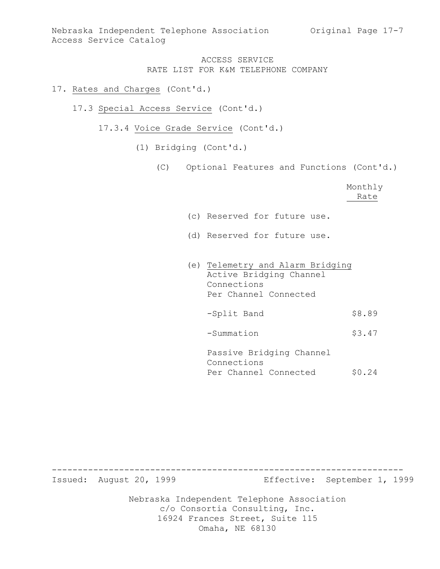## 17. Rates and Charges (Cont'd.)

- 17.3 Special Access Service (Cont'd.)
	- 17.3.4 Voice Grade Service (Cont'd.)
		- (1) Bridging (Cont'd.)
			- (C) Optional Features and Functions (Cont'd.)

Monthly Rate

- (c) Reserved for future use.
- (d) Reserved for future use.
- (e) Telemetry and Alarm Bridging Active Bridging Channel Connections Per Channel Connected -Split Band \$8.89 -Summation \$3.47 Passive Bridging Channel

Connections Per Channel Connected \$0.24

Nebraska Independent Telephone Association c/o Consortia Consulting, Inc. 16924 Frances Street, Suite 115 -------------------------------------------------------------------- Issued: August 20, 1999 Effective: September 1, 1999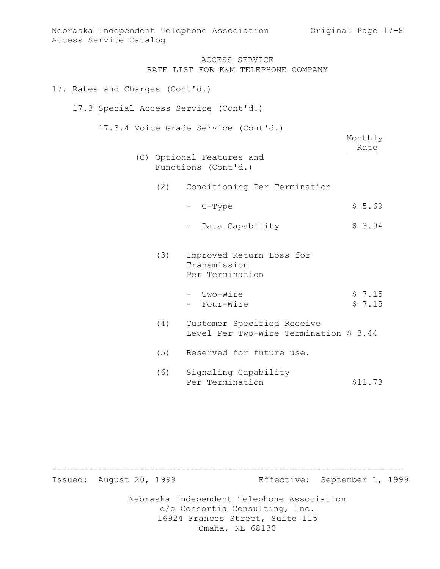### 17. Rates and Charges (Cont'd.)

#### 17.3 Special Access Service (Cont'd.)

17.3.4 Voice Grade Service (Cont'd.)

Monthly Rate

- (C) Optional Features and Functions (Cont'd.)
	- (2) Conditioning Per Termination
		- $-$  C-Type  $$ 5.69$
		- Data Capability \$ 3.94
	- (3) Improved Return Loss for Transmission Per Termination
		- $-$  Two-Wire  $\frac{1}{2}$   $\frac{15}{2}$ - Four-Wire  $\frac{1}{5}$  7.15
	- (4) Customer Specified Receive Level Per Two-Wire Termination \$ 3.44
	- (5) Reserved for future use.
	- (6) Signaling Capability Per Termination \$11.73

Nebraska Independent Telephone Association c/o Consortia Consulting, Inc. 16924 Frances Street, Suite 115 Omaha, NE 68130 -------------------------------------------------------------------- Issued: August 20, 1999 Effective: September 1, 1999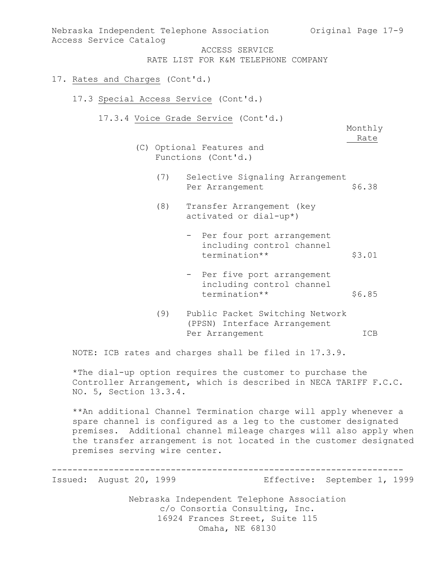| Access Service Catalog                | Nebraska Independent Telephone Association briginal Page 17-9                      |                 |
|---------------------------------------|------------------------------------------------------------------------------------|-----------------|
|                                       | ACCESS SERVICE<br>RATE LIST FOR K&M TELEPHONE COMPANY                              |                 |
| 17. Rates and Charges (Cont'd.)       |                                                                                    |                 |
| 17.3 Special Access Service (Cont'd.) |                                                                                    |                 |
|                                       | 17.3.4 Voice Grade Service (Cont'd.)                                               | Monthly<br>Rate |
|                                       | (C) Optional Features and<br>Functions (Cont'd.)                                   |                 |
| (7)                                   | Selective Signaling Arrangement<br>Per Arrangement                                 | \$6.38          |
| (8)                                   | Transfer Arrangement (key<br>activated or dial-up*)                                |                 |
|                                       | - Per four port arrangement<br>including control channel<br>termination**          | \$3.01          |
|                                       | - Per five port arrangement<br>including control channel<br>termination**          | \$6.85          |
| (9)                                   | Public Packet Switching Network<br>(PPSN) Interface Arrangement<br>Per Arrangement | ICB             |

NOTE: ICB rates and charges shall be filed in 17.3.9.

\*The dial-up option requires the customer to purchase the Controller Arrangement, which is described in NECA TARIFF F.C.C. NO. 5, Section 13.3.4.

\*\*An additional Channel Termination charge will apply whenever a spare channel is configured as a leg to the customer designated premises. Additional channel mileage charges will also apply when the transfer arrangement is not located in the customer designated premises serving wire center.

-------------------------------------------------------------------- Issued: August 20, 1999 Effective: September 1, 1999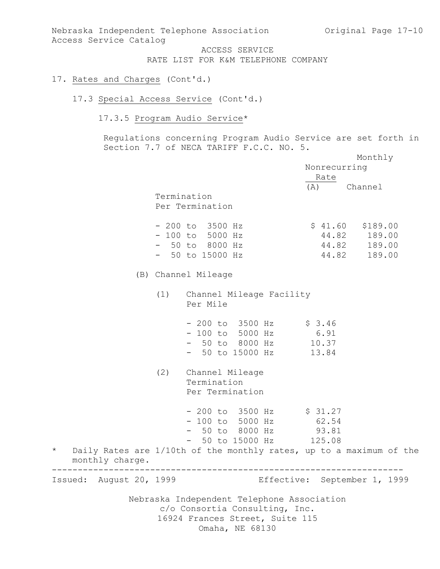Nebraska Independent Telephone Association Original Page 17-10 Access Service Catalog

> ACCESS SERVICE RATE LIST FOR K&M TELEPHONE COMPANY

### 17. Rates and Charges (Cont'd.)

## 17.3 Special Access Service (Cont'd.)

17.3.5 Program Audio Service\*

Regulations concerning Program Audio Service are set forth in Section 7.7 of NECA TARIFF F.C.C. NO. 5.

|                            |     |                                                                                                                                    | Nonrecurring<br>Rate | Monthly                                                            |
|----------------------------|-----|------------------------------------------------------------------------------------------------------------------------------------|----------------------|--------------------------------------------------------------------|
|                            |     | Termination<br>Per Termination                                                                                                     | (A) Channel          |                                                                    |
|                            |     | $-200$ to 3500 Hz<br>$-100$ to 5000 Hz<br>$-50$ to 8000 Hz<br>$-50$ to 15000 Hz                                                    |                      | $$41.60$ $$189.00$<br>44.82 189.00<br>44.82 189.00<br>44.82 189.00 |
|                            |     | (B) Channel Mileage                                                                                                                |                      |                                                                    |
|                            |     | (1) Channel Mileage Facility<br>Per Mile                                                                                           |                      |                                                                    |
|                            |     | $-200$ to 3500 Hz \$ 3.46<br>$-100$ to 5000 Hz 6.91<br>- 50 to 8000 Hz 10.37<br>- 50 to 15000 Hz 13.84                             |                      |                                                                    |
|                            | (2) | Channel Mileage<br>Termination<br>Per Termination                                                                                  |                      |                                                                    |
|                            |     | $-200$ to 3500 Hz $\frac{27}{100}$<br>- 100 to 5000 Hz 62.54<br>- 50 to 8000 Hz 93.81<br>- 50 to 15000 Hz 125.08                   |                      |                                                                    |
| $\star$<br>monthly charge. |     | Daily Rates are 1/10th of the monthly rates, up to a maximum of the                                                                |                      |                                                                    |
| Issued: August 20, 1999    |     |                                                                                                                                    |                      | Effective: September 1, 1999                                       |
|                            |     | Nebraska Independent Telephone Association<br>c/o Consortia Consulting, Inc.<br>16924 Frances Street, Suite 115<br>Omaha, NE 68130 |                      |                                                                    |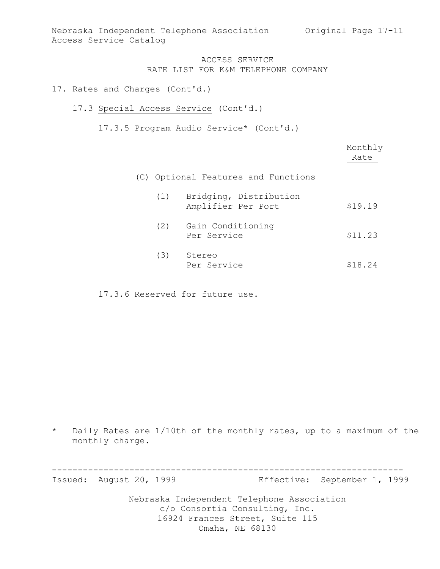Nebraska Independent Telephone Association Original Page 17-11 Access Service Catalog

#### ACCESS SERVICE RATE LIST FOR K&M TELEPHONE COMPANY

#### 17. Rates and Charges (Cont'd.)

#### 17.3 Special Access Service (Cont'd.)

17.3.5 Program Audio Service\* (Cont'd.)

|     |                                              | Monthly<br>Rate |
|-----|----------------------------------------------|-----------------|
|     | (C) Optional Features and Functions          |                 |
| (1) | Bridging, Distribution<br>Amplifier Per Port | \$19.19         |
| (2) | Gain Conditioning<br>Per Service             | \$11.23         |
| (3) | Stereo<br>Per Service                        | \$18.24         |

17.3.6 Reserved for future use.

\* Daily Rates are 1/10th of the monthly rates, up to a maximum of the monthly charge.

Nebraska Independent Telephone Association c/o Consortia Consulting, Inc. 16924 Frances Street, Suite 115 -------------------------------------------------------------------- Issued: August 20, 1999 Effective: September 1, 1999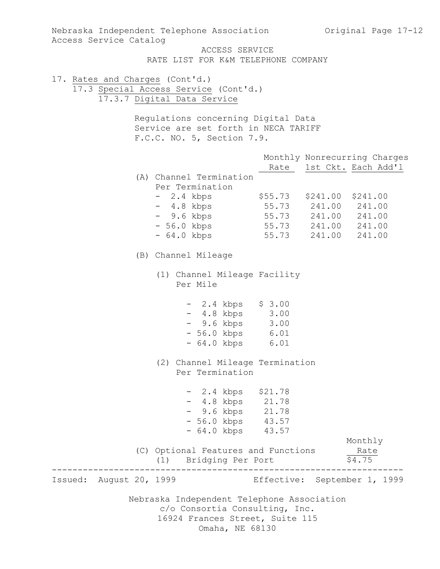Nebraska Independent Telephone Association c/o Consortia Consulting, Inc. 16924 Frances Street, Suite 115 Omaha, NE 68130 Nebraska Independent Telephone Association Original Page 17-12 Access Service Catalog ACCESS SERVICE RATE LIST FOR K&M TELEPHONE COMPANY 17. Rates and Charges (Cont'd.) 17.3 Special Access Service (Cont'd.) 17.3.7 Digital Data Service Regulations concerning Digital Data Service are set forth in NECA TARIFF F.C.C. NO. 5, Section 7.9. Monthly Nonrecurring Charges Rate 1st Ckt. Each Add'l (A) Channel Termination Per Termination - 2.4 kbps \$55.73 \$241.00 \$241.00 - 4.8 kbps 55.73 241.00 241.00 - 9.6 kbps 55.73 241.00 241.00 - 56.0 kbps 55.73 241.00 241.00 - 64.0 kbps 55.73 241.00 241.00 (B) Channel Mileage (1) Channel Mileage Facility Per Mile - 2.4 kbps \$ 3.00 - 4.8 kbps 3.00 - 9.6 kbps 3.00 - 56.0 kbps 6.01 - 64.0 kbps 6.01 (2) Channel Mileage Termination Per Termination - 2.4 kbps \$21.78 - 4.8 kbps 21.78 - 9.6 kbps 21.78 - 56.0 kbps 43.57 - 64.0 kbps 43.57 Monthly (C) Optional Features and Functions Rate (1) Bridging Per Port \$4.75 -------------------------------------------------------------------- Issued: August 20, 1999 Effective: September 1, 1999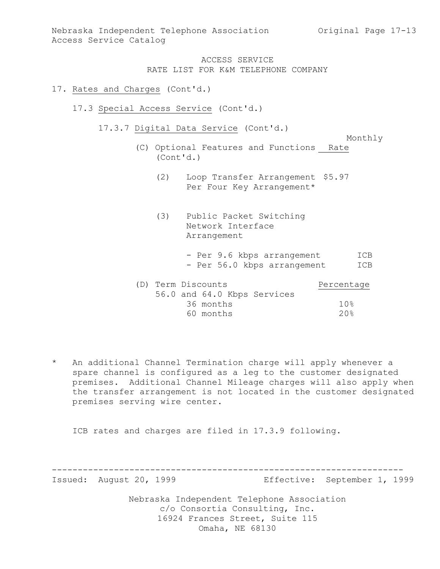Nebraska Independent Telephone Association Original Page 17-13 Access Service Catalog

## ACCESS SERVICE RATE LIST FOR K&M TELEPHONE COMPANY

### 17. Rates and Charges (Cont'd.)

- 17.3 Special Access Service (Cont'd.)
	- 17.3.7 Digital Data Service (Cont'd.)

```
Monthly
```
- (C) Optional Features and Functions Rate (Cont'd.)
	- (2) Loop Transfer Arrangement \$5.97 Per Four Key Arrangement\*
	- (3) Public Packet Switching Network Interface Arrangement
		- Per 9.6 kbps arrangement ICB - Per 56.0 kbps arrangement ICB

| (D) Term Discounts |           |                             | Percentage |
|--------------------|-----------|-----------------------------|------------|
|                    |           | 56.0 and 64.0 Kbps Services |            |
|                    | 36 months |                             | 10%        |
|                    | 60 months |                             | 20.8       |

\* An additional Channel Termination charge will apply whenever a spare channel is configured as a leg to the customer designated premises. Additional Channel Mileage charges will also apply when the transfer arrangement is not located in the customer designated premises serving wire center.

ICB rates and charges are filed in 17.3.9 following.

-------------------------------------------------------------------- Issued: August 20, 1999 Effective: September 1, 1999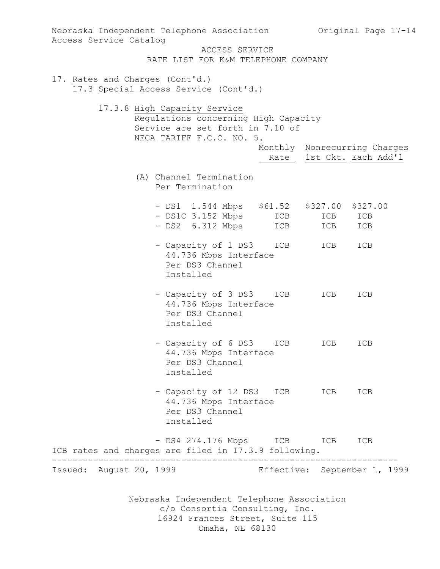| Nebraska Independent Telephone Association bariginal Page 17-14<br>Access Service Catalog                |                                                                                                                 |            |            |                                                          |
|----------------------------------------------------------------------------------------------------------|-----------------------------------------------------------------------------------------------------------------|------------|------------|----------------------------------------------------------|
|                                                                                                          | ACCESS SERVICE<br>RATE LIST FOR K&M TELEPHONE COMPANY                                                           |            |            |                                                          |
| 17. Rates and Charges (Cont'd.)<br>17.3 Special Access Service (Cont'd.)<br>17.3.8 High Capacity Service | Regulations concerning High Capacity<br>Service are set forth in 7.10 of                                        |            |            |                                                          |
|                                                                                                          | NECA TARIFF F.C.C. NO. 5.                                                                                       |            |            | Monthly Nonrecurring Charges<br>Rate 1st Ckt. Each Add'l |
|                                                                                                          | (A) Channel Termination<br>Per Termination                                                                      |            |            |                                                          |
|                                                                                                          | - DS1 1.544 Mbps \$61.52 \$327.00<br>- DS1C 3.152 Mbps<br>- DS2 6.312 Mbps                                      | ICB<br>ICB | ICB<br>ICB | \$327.00<br>ICB<br>ICB                                   |
|                                                                                                          | - Capacity of 1 DS3<br>44.736 Mbps Interface<br>Per DS3 Channel<br>Installed                                    | ICB        | ICB        | ICB                                                      |
|                                                                                                          | - Capacity of 3 DS3<br>44.736 Mbps Interface<br>Per DS3 Channel<br>Installed                                    | ICB        | ICB        | ICB                                                      |
|                                                                                                          | - Capacity of 6 DS3<br>44.736 Mbps Interface<br>Per DS3 Channel<br>Installed                                    | ICB        | ICB        | ICB                                                      |
|                                                                                                          | - Capacity of 12 DS3 ICB<br>44.736 Mbps Interface<br>Per DS3 Channel<br>Installed                               |            | ICB        | ICB                                                      |
| ICB rates and charges are filed in 17.3.9 following.                                                     | - DS4 274.176 Mbps ICB                                                                                          |            | ICB        | ICB                                                      |
| Issued: August 20, 1999                                                                                  |                                                                                                                 |            |            | Effective: September 1, 1999                             |
|                                                                                                          | Nebraska Independent Telephone Association<br>c/o Consortia Consulting, Inc.<br>16924 Frances Street, Suite 115 |            |            |                                                          |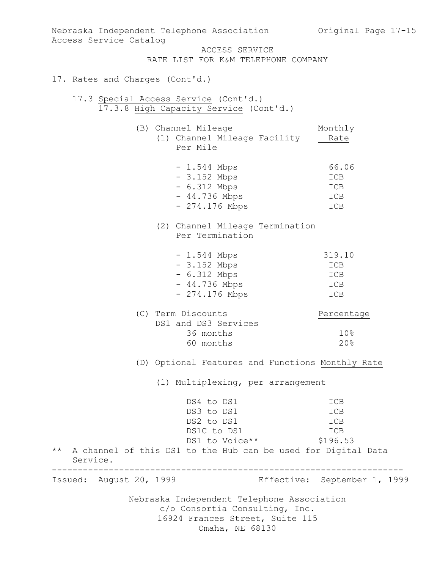Nebraska Independent Telephone Association c/o Consortia Consulting, Inc. 16924 Frances Street, Suite 115 Nebraska Independent Telephone Association Original Page 17-15 Access Service Catalog ACCESS SERVICE RATE LIST FOR K&M TELEPHONE COMPANY 17. Rates and Charges (Cont'd.) 17.3 Special Access Service (Cont'd.) 17.3.8 High Capacity Service (Cont'd.) (B) Channel Mileage Monthly (1) Channel Mileage Facility Rate Per Mile - 1.544 Mbps 66.06 - 3.152 Mbps ICB - 6.312 Mbps ICB - 44.736 Mbps ICB  $- 274.176 \text{ Mbps}$  ICB (2) Channel Mileage Termination Per Termination - 1.544 Mbps 319.10 - 3.152 Mbps ICB - 6.312 Mbps ICB - 44.736 Mbps ICB - 274.176 Mbps ICB (C) Term Discounts Percentage DS1 and DS3 Services 36 months 10% 60 months 20% (D) Optional Features and Functions Monthly Rate (1) Multiplexing, per arrangement DS4 to DS1 ICB DS3 to DS1 ICB DS2 to DS1 ICB<br>
DS1C to DS1 ICB DS1C to DS1 DS1 to Voice \*\* \$196.53 \*\* A channel of this DS1 to the Hub can be used for Digital Data Service. -------------------------------------------------------------------- Issued: August 20, 1999 Effective: September 1, 1999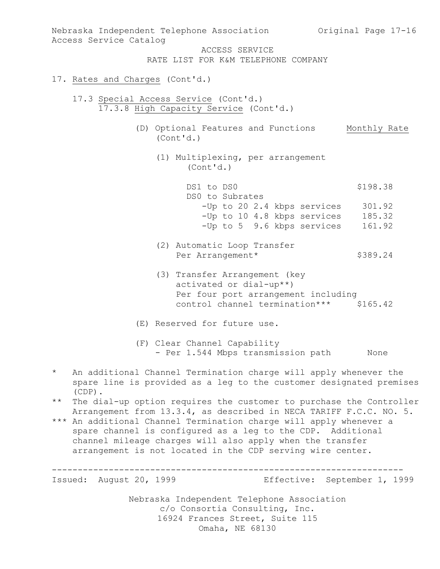Nebraska Independent Telephone Association c/o Consortia Consulting, Inc. 16924 Frances Street, Suite 115 Omaha, NE 68130 Nebraska Independent Telephone Association Original Page 17-16 Access Service Catalog ACCESS SERVICE RATE LIST FOR K&M TELEPHONE COMPANY 17. Rates and Charges (Cont'd.) 17.3 Special Access Service (Cont'd.) 17.3.8 High Capacity Service (Cont'd.) (D) Optional Features and Functions Monthly Rate (Cont'd.) (1) Multiplexing, per arrangement (Cont'd.) DS1 to DS0 \$198.38 DS0 to Subrates -Up to 20 2.4 kbps services 301.92 -Up to 10 4.8 kbps services 185.32 -Up to 5 9.6 kbps services 161.92 (2) Automatic Loop Transfer Per Arrangement\* \$389.24 (3) Transfer Arrangement (key activated or dial-up\*\*) Per four port arrangement including control channel termination\*\*\* \$165.42 (E) Reserved for future use. (F) Clear Channel Capability - Per 1.544 Mbps transmission path None \* An additional Channel Termination charge will apply whenever the spare line is provided as a leg to the customer designated premises (CDP). \*\* The dial-up option requires the customer to purchase the Controller Arrangement from 13.3.4, as described in NECA TARIFF F.C.C. NO. 5. \*\*\* An additional Channel Termination charge will apply whenever a spare channel is configured as a leg to the CDP. Additional channel mileage charges will also apply when the transfer arrangement is not located in the CDP serving wire center. -------------------------------------------------------------------- Issued: August 20, 1999 Effective: September 1, 1999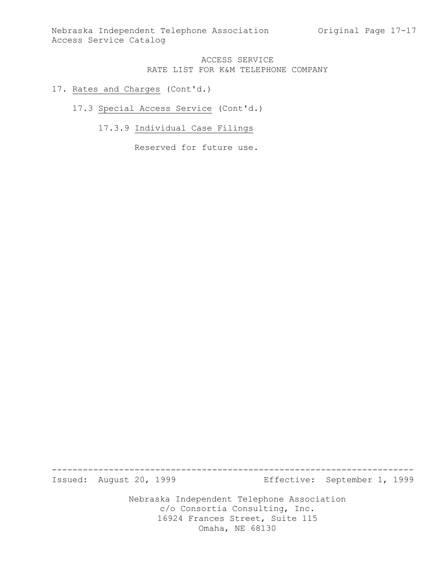Nebraska Independent Telephone Association Original Page 17-17 Access Service Catalog

### ACCESS SERVICE RATE LIST FOR K&M TELEPHONE COMPANY

#### 17. Rates and Charges (Cont'd.)

#### 17.3 Special Access Service (Cont'd.)

# 17.3.9 Individual Case Filings

Reserved for future use.

Nebraska Independent Telephone Association ---------------------------------------------------------------------- Issued: August 20, 1999 Effective: September 1, 1999

c/o Consortia Consulting, Inc. 16924 Frances Street, Suite 115 Omaha, NE 68130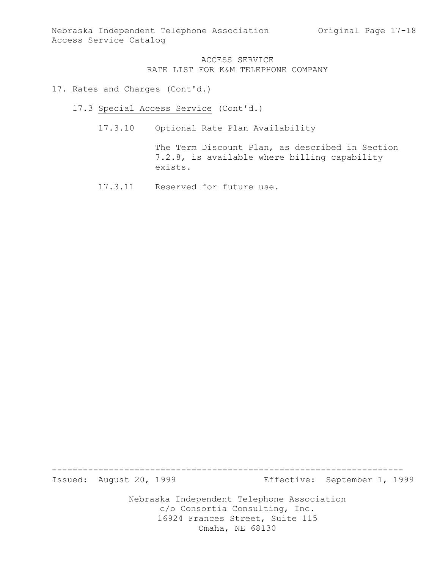#### 17. Rates and Charges (Cont'd.)

- 17.3 Special Access Service (Cont'd.)
	- 17.3.10 Optional Rate Plan Availability

The Term Discount Plan, as described in Section 7.2.8, is available where billing capability exists.

17.3.11 Reserved for future use.

--------------------------------------------------------------------

Issued: August 20, 1999 Effective: September 1, 1999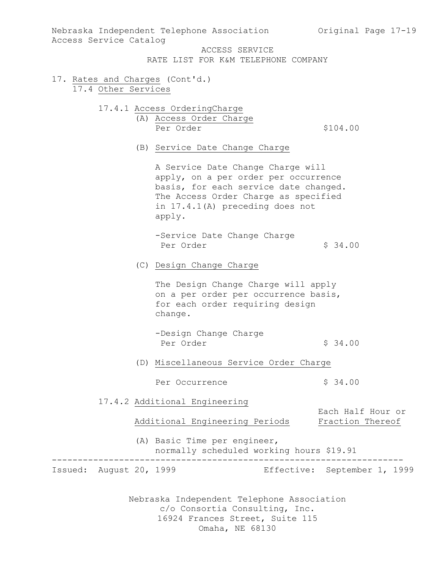| Access Service Catalog                                 | Nebraska Independent Telephone Association balge original Page 17-19                                                                                                                                    |                                       |
|--------------------------------------------------------|---------------------------------------------------------------------------------------------------------------------------------------------------------------------------------------------------------|---------------------------------------|
|                                                        | ACCESS SERVICE<br>RATE LIST FOR K&M TELEPHONE COMPANY                                                                                                                                                   |                                       |
| 17. Rates and Charges (Cont'd.)<br>17.4 Other Services |                                                                                                                                                                                                         |                                       |
|                                                        | 17.4.1 Access OrderingCharge                                                                                                                                                                            |                                       |
|                                                        | (A) Access Order Charge<br>Per Order                                                                                                                                                                    | \$104.00                              |
|                                                        | (B) Service Date Change Charge                                                                                                                                                                          |                                       |
|                                                        | A Service Date Change Charge will<br>apply, on a per order per occurrence<br>basis, for each service date changed.<br>The Access Order Charge as specified<br>in 17.4.1(A) preceding does not<br>apply. |                                       |
|                                                        | -Service Date Change Charge<br>Per Order                                                                                                                                                                | \$34.00                               |
|                                                        | (C) Design Change Charge                                                                                                                                                                                |                                       |
|                                                        | The Design Change Charge will apply<br>on a per order per occurrence basis,<br>for each order requiring design<br>change.                                                                               |                                       |
|                                                        | -Design Change Charge<br>Per Order                                                                                                                                                                      | \$34.00                               |
|                                                        | (D) Miscellaneous Service Order Charge                                                                                                                                                                  |                                       |
|                                                        | Per Occurrence                                                                                                                                                                                          | \$34.00                               |
|                                                        | 17.4.2 Additional Engineering<br>Additional Engineering Periods                                                                                                                                         | Each Half Hour or<br>Fraction Thereof |
|                                                        | (A) Basic Time per engineer,<br>normally scheduled working hours \$19.91                                                                                                                                |                                       |
| Issued: August 20, 1999                                |                                                                                                                                                                                                         | Effective: September 1, 1999          |
|                                                        | Nebraska Independent Telephone Association<br>c/o Consortia Consulting, Inc.<br>16924 Frances Street, Suite 115<br>Omaha, NE 68130                                                                      |                                       |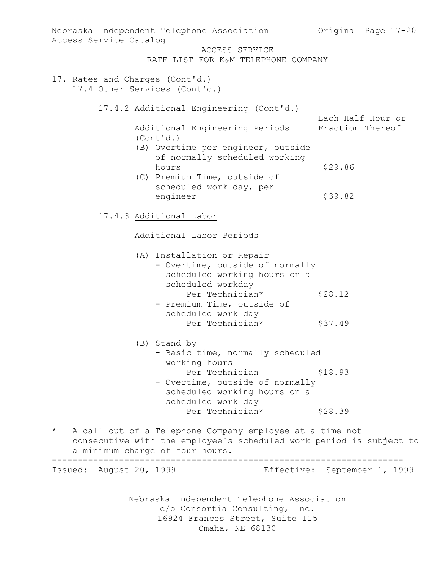Nebraska Independent Telephone Association c/o Consortia Consulting, Inc. 16924 Frances Street, Suite 115 Nebraska Independent Telephone Association (Original Page 17-20) Access Service Catalog ACCESS SERVICE RATE LIST FOR K&M TELEPHONE COMPANY 17. Rates and Charges (Cont'd.) 17.4 Other Services (Cont'd.) 17.4.2 Additional Engineering (Cont'd.) Each Half Hour or Additional Engineering Periods Fraction Thereof (Cont'd.) (B) Overtime per engineer, outside of normally scheduled working hours \$29.86 (C) Premium Time, outside of scheduled work day, per engineer \$39.82 17.4.3 Additional Labor Additional Labor Periods (A) Installation or Repair - Overtime, outside of normally scheduled working hours on a scheduled workday Per Technician\* \$28.12 - Premium Time, outside of scheduled work day Per Technician\* \$37.49 (B) Stand by - Basic time, normally scheduled working hours Per Technician \$18.93 - Overtime, outside of normally scheduled working hours on a scheduled work day Per Technician\* \$28.39 \* A call out of a Telephone Company employee at a time not consecutive with the employee's scheduled work period is subject to a minimum charge of four hours. -------------------------------------------------------------------- Issued: August 20, 1999 Effective: September 1, 1999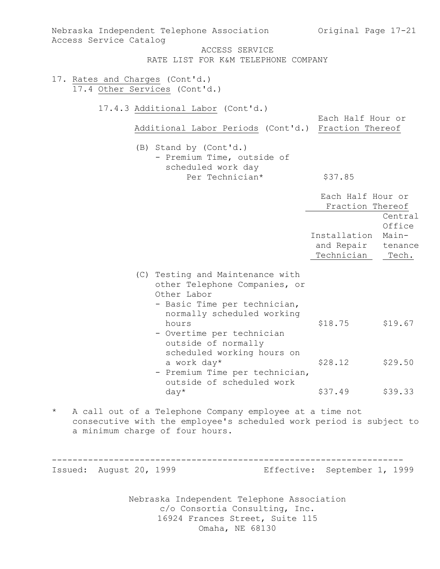| Nebraska Independent Telephone Association<br>Access Service Catalog                                                                                                           | Original Page 17-21                                                                        |  |  |  |
|--------------------------------------------------------------------------------------------------------------------------------------------------------------------------------|--------------------------------------------------------------------------------------------|--|--|--|
| ACCESS SERVICE<br>RATE LIST FOR K&M TELEPHONE COMPANY                                                                                                                          |                                                                                            |  |  |  |
| 17. Rates and Charges (Cont'd.)<br>17.4 Other Services (Cont'd.)                                                                                                               |                                                                                            |  |  |  |
| 17.4.3 Additional Labor (Cont'd.)                                                                                                                                              |                                                                                            |  |  |  |
| Additional Labor Periods (Cont'd.) Fraction Thereof                                                                                                                            | Each Half Hour or                                                                          |  |  |  |
| (B) Stand by (Cont'd.)<br>- Premium Time, outside of<br>scheduled work day                                                                                                     |                                                                                            |  |  |  |
| Per Technician*                                                                                                                                                                | \$37.85                                                                                    |  |  |  |
|                                                                                                                                                                                | Each Half Hour or<br>Fraction Thereof                                                      |  |  |  |
|                                                                                                                                                                                | Central<br>Office<br>Installation<br>Main-<br>and Repair<br>tenance<br>Technician<br>Tech. |  |  |  |
| (C) Testing and Maintenance with<br>other Telephone Companies, or<br>Other Labor<br>- Basic Time per technician,<br>normally scheduled working                                 |                                                                                            |  |  |  |
| hours<br>- Overtime per technician<br>outside of normally<br>scheduled working hours on                                                                                        | \$18.75<br>\$19.67                                                                         |  |  |  |
| a work day*<br>- Premium Time per technician,<br>outside of scheduled work                                                                                                     | \$28.12<br>\$29.50                                                                         |  |  |  |
| $day*$                                                                                                                                                                         | \$37.49<br>\$39.33                                                                         |  |  |  |
| $^\star$<br>A call out of a Telephone Company employee at a time not<br>consecutive with the employee's scheduled work period is subject to<br>a minimum charge of four hours. |                                                                                            |  |  |  |
| Issued: August 20, 1999                                                                                                                                                        | Effective: September 1, 1999                                                               |  |  |  |
| Nebraska Independent Telephone Association<br>c/o Consortia Consulting, Inc.<br>16924 Frances Street, Suite 115                                                                |                                                                                            |  |  |  |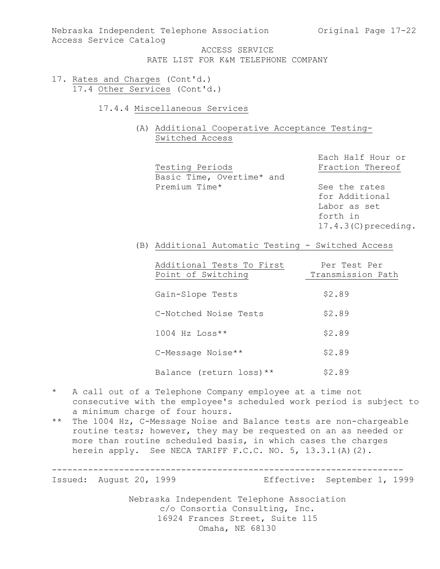Nebraska Independent Telephone Association (Original Page 17-22) Access Service Catalog

> ACCESS SERVICE RATE LIST FOR K&M TELEPHONE COMPANY

- 17. Rates and Charges (Cont'd.) 17.4 Other Services (Cont'd.)
	- 17.4.4 Miscellaneous Services

(A) Additional Cooperative Acceptance Testing-Switched Access

Testing Periods **Fraction** Thereof Basic Time, Overtime\* and Premium Time\* See the rates

Each Half Hour or

for Additional Labor as set forth in 17.4.3(C)preceding.

(B) Additional Automatic Testing - Switched Access

| Additional Tests To First<br>Point of Switching | Per Test Per<br>Transmission Path |
|-------------------------------------------------|-----------------------------------|
| Gain-Slope Tests                                | \$2.89                            |
| C-Notched Noise Tests                           | \$2.89                            |
| $1004$ Hz Loss**                                | \$2.89                            |
| C-Message Noise**                               | \$2.89                            |
| Balance (return loss) **                        | \$2.89                            |

- \* A call out of a Telephone Company employee at a time not consecutive with the employee's scheduled work period is subject to a minimum charge of four hours.
- \*\* The 1004 Hz, C-Message Noise and Balance tests are non-chargeable routine tests; however, they may be requested on an as needed or more than routine scheduled basis, in which cases the charges herein apply. See NECA TARIFF F.C.C. NO. 5, 13.3.1(A)(2).

--------------------------------------------------------------------

Issued: August 20, 1999 Effective: September 1, 1999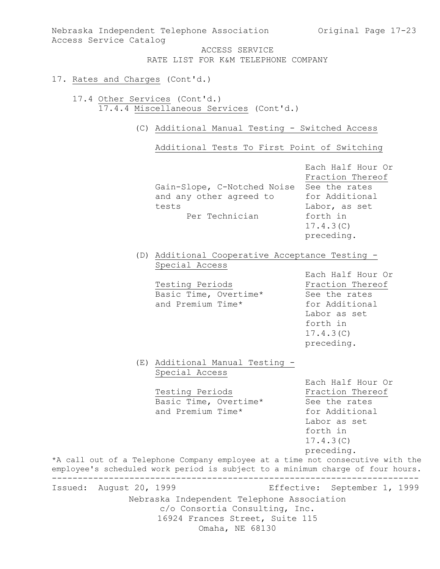Nebraska Independent Telephone Association (Original Page 17-23) Access Service Catalog

> ACCESS SERVICE RATE LIST FOR K&M TELEPHONE COMPANY

## 17. Rates and Charges (Cont'd.)

17.4 Other Services (Cont'd.) 17.4.4 Miscellaneous Services (Cont'd.)

(C) Additional Manual Testing - Switched Access

Additional Tests To First Point of Switching

|                         | Gain-Slope, C-Notched Noise<br>and any other agreed to<br>tests<br>Per Technician                                                                                | Each Half Hour Or<br>Fraction Thereof<br>See the rates<br>for Additional<br>Labor, as set<br>forth in<br>17.4.3(C)<br>preceding. |
|-------------------------|------------------------------------------------------------------------------------------------------------------------------------------------------------------|----------------------------------------------------------------------------------------------------------------------------------|
|                         | (D) Additional Cooperative Acceptance Testing -<br>Special Access                                                                                                | Each Half Hour Or                                                                                                                |
|                         | Testing Periods<br>Basic Time, Overtime*<br>and Premium Time*                                                                                                    | Fraction Thereof<br>See the rates<br>for Additional<br>Labor as set<br>forth in<br>17.4.3(C)<br>preceding.                       |
|                         | (E) Additional Manual Testing -<br>Special Access                                                                                                                |                                                                                                                                  |
|                         | Testing Periods<br>Basic Time, Overtime*<br>and Premium Time*                                                                                                    | Each Half Hour Or<br>Fraction Thereof<br>See the rates<br>for Additional<br>Labor as set<br>forth in<br>17.4.3(C)<br>preceding.  |
|                         | *A call out of a Telephone Company employee at a time not consecutive with the<br>employee's scheduled work period is subject to a minimum charge of four hours. |                                                                                                                                  |
| Issued: August 20, 1999 | Effective:<br>Nebraska Independent Telephone Association<br>c/o Consortia Consulting, Inc.<br>16924 Frances Street, Suite 115<br>Omaha, NE 68130                 | September 1, 1999                                                                                                                |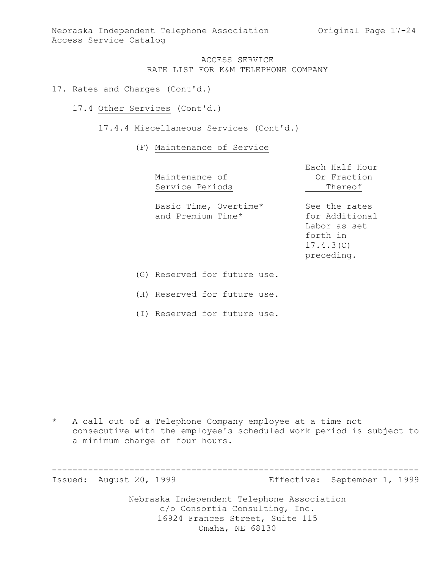### 17. Rates and Charges (Cont'd.)

17.4 Other Services (Cont'd.)

#### 17.4.4 Miscellaneous Services (Cont'd.)

#### (F) Maintenance of Service

|     | Maintenance of<br>Service Periods          | Each Half Hour<br>Or Fraction<br>Thereof                                               |
|-----|--------------------------------------------|----------------------------------------------------------------------------------------|
|     | Basic Time, Overtime*<br>and Premium Time* | See the rates<br>for Additional<br>Labor as set<br>forth in<br>17.4.3(C)<br>preceding. |
| (G) | Reserved for future use.                   |                                                                                        |

(H) Reserved for future use.

(I) Reserved for future use.

\* A call out of a Telephone Company employee at a time not consecutive with the employee's scheduled work period is subject to a minimum charge of four hours.

Nebraska Independent Telephone Association c/o Consortia Consulting, Inc. 16924 Frances Street, Suite 115 ----------------------------------------------------------------------- Issued: August 20, 1999 Effective: September 1, 1999